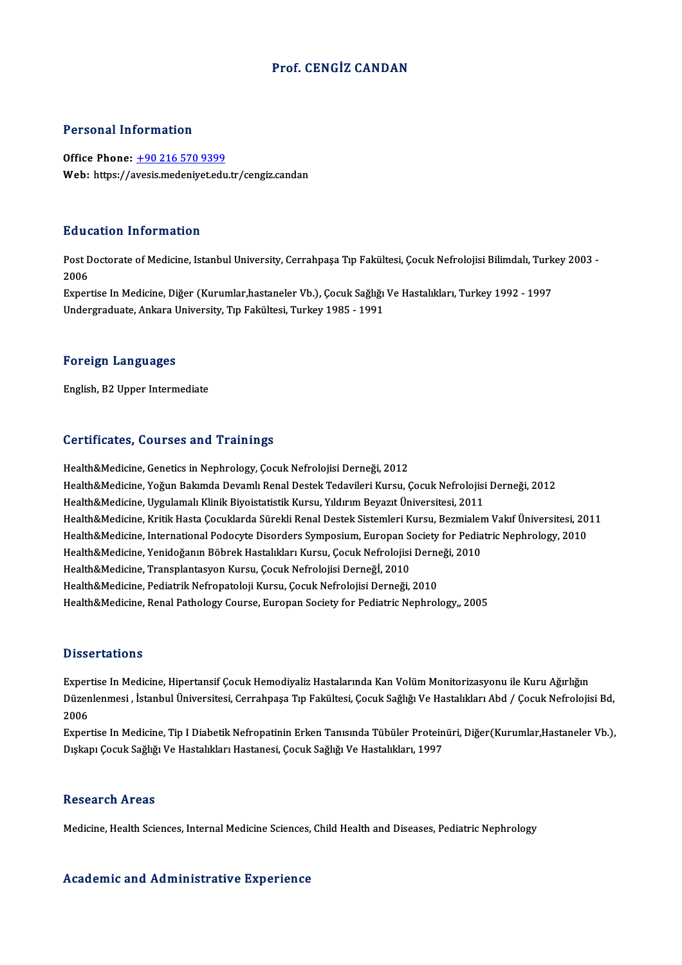## Prof. CENGİZ CANDAN

### Personal Information

Office Phone:  $\frac{+90\,216\,570\,9399}{ }$ Web: https://a[vesis.medeniyet.edu](tel:+90 216 570 9399).tr/cengiz.candan

#### Education Information

**Education Information**<br>Post Doctorate of Medicine, Istanbul University, Cerrahpaşa Tıp Fakültesi, Çocuk Nefrolojisi Bilimdalı, Turkey 2003 -<br>2006 Eure<br>Post E<br>2006<br>Evror Post Doctorate of Medicine, Istanbul University, Cerrahpaşa Tıp Fakültesi, Çocuk Nefrolojisi Bilimdalı, Turk<br>2006<br>Expertise In Medicine, Diğer (Kurumlar,hastaneler Vb.), Çocuk Sağlığı Ve Hastalıkları, Turkey 1992 - 1997<br>Un

2006<br>Expertise In Medicine, Diğer (Kurumlar,hastaneler Vb.), Çocuk Sağlığı<br>Undergraduate, Ankara University, Tıp Fakültesi, Turkey 1985 - 1991 Undergraduate, Ankara University, Tıp Fakültesi, Turkey 1985 - 1991<br>Foreign Languages

English,B2Upper Intermediate

#### Certificates, Courses and Trainings

Health&Medicine, Genetics in Nephrology, Çocuk Nefrolojisi Derneği, 2012 Health&Medicine, Yoğun Bakımda Devamlı Renal Destek Tedavileri Kursu, Çocuk Nefrolojisi Derneği, 2012 Health&Medicine, Uygulamalı Klinik Biyoistatistik Kursu, Yıldırım Beyazıt Üniversitesi, 2011 Health&Medicine, Yoğun Bakımda Devamlı Renal Destek Tedavileri Kursu, Çocuk Nefrolojisi Derneği, 2012<br>Health&Medicine, Uygulamalı Klinik Biyoistatistik Kursu, Yıldırım Beyazıt Üniversitesi, 2011<br>Health&Medicine, Kritik Has Health&Medicine, Uygulamalı Klinik Biyoistatistik Kursu, Yıldırım Beyazıt Üniversitesi, 2011<br>Health&Medicine, Kritik Hasta Çocuklarda Sürekli Renal Destek Sistemleri Kursu, Bezmialem Vakıf Üniversitesi, 20<br>Health&Medicine, Health&Medicine, Kritik Hasta Çocuklarda Sürekli Renal Destek Sistemleri Kursu, Bezmialer<br>Health&Medicine, International Podocyte Disorders Symposium, Europan Society for Pedia<br>Health&Medicine, Yenidoğanın Böbrek Hastalıkl Health&Medicine, International Podocyte Disorders Symposium, Europan Society for Pediatric Nephrology, 2010<br>Health&Medicine, Yenidoğanın Böbrek Hastalıkları Kursu, Çocuk Nefrolojisi Derneği, 2010<br>Health&Medicine, Transplan Health&Medicine, Yenidoğanın Böbrek Hastalıkları Kursu, Çocuk Nefrolojisi Derneği, 2010 Health&Medicine, Renal Pathology Course, Europan Society for Pediatric Nephrology,, 2005

#### **Dissertations**

**Dissertations**<br>Expertise In Medicine, Hipertansif Çocuk Hemodiyaliz Hastalarında Kan Volüm Monitorizasyonu ile Kuru Ağırlığın<br>Dürenlanmesi, İstanbul Üniyensitesi, Cannabases Tın Feltültesi, Casuk Sağlığı Ve Hestalıkları A Disbel tatronis<br>Expertise In Medicine, Hipertansif Çocuk Hemodiyaliz Hastalarında Kan Volüm Monitorizasyonu ile Kuru Ağırlığın<br>Düzenlenmesi , İstanbul Üniversitesi, Cerrahpaşa Tıp Fakültesi, Çocuk Sağlığı Ve Hastalıkları A Exper<br>Düzen<br>2006<br>Evper Düzenlenmesi , İstanbul Üniversitesi, Cerrahpaşa Tıp Fakültesi, Çocuk Sağlığı Ve Hastalıkları Abd / Çocuk Nefrolojisi Bd,<br>2006<br>Expertise In Medicine, Tip I Diabetik Nefropatinin Erken Tanısında Tübüler Proteinüri, Diğer(Ku

2006<br>Expertise In Medicine, Tip I Diabetik Nefropatinin Erken Tanısında Tübüler Protein<br>Dışkapı Çocuk Sağlığı Ve Hastalıkları Hastanesi, Çocuk Sağlığı Ve Hastalıkları, 1997 Dışkapı Çocuk Sağlığı Ve Hastalıkları Hastanesi, Çocuk Sağlığı Ve Hastalıkları, 1997<br>Research Areas

Medicine, Health Sciences, Internal Medicine Sciences, Child Health and Diseases, Pediatric Nephrology

#### Academic and Administrative Experience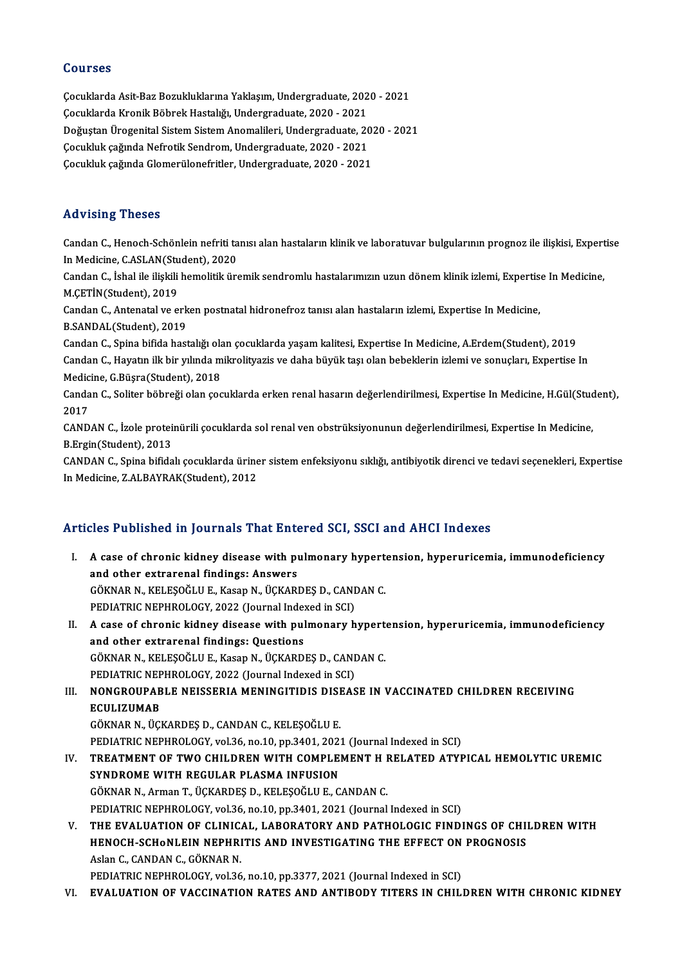### Courses

**Courses<br>Çocuklarda Asit-Baz Bozukluklarına Yaklaşım, Undergraduate, 2020 - 2021<br>Cosuklarda Krapik Böhrek Hesteltğı Undergraduate, 2020 - 2021** SSATBSS<br>Çocuklarda Asit-Baz Bozukluklarına Yaklaşım, Undergraduate, 202<br>Çocuklarda Kronik Böbrek Hastalığı, Undergraduate, 2020 - 2021<br>Doğustan Ünegenitel Sistem Sistem Anemalileri, Undergraduate, 20 Çocuklarda Asit-Baz Bozukluklarına Yaklaşım, Undergraduate, 2020 - 2021<br>Çocuklarda Kronik Böbrek Hastalığı, Undergraduate, 2020 - 2021<br>Doğuştan Ürogenital Sistem Sistem Anomalileri, Undergraduate, 2020 - 2021<br>Cosukluk seği Çocuklarda Kronik Böbrek Hastalığı, Undergraduate, 2020 - 2021<br>Doğuştan Ürogenital Sistem Sistem Anomalileri, Undergraduate, 20<br>Çocukluk çağında Nefrotik Sendrom, Undergraduate, 2020 - 2021<br>Cosukluk çağında Clamarülanafrit Doğuştan Ürogenital Sistem Sistem Anomalileri, Undergraduate, 20:<br>Çocukluk çağında Nefrotik Sendrom, Undergraduate, 2020 - 2021<br>Çocukluk çağında Glomerülonefritler, Undergraduate, 2020 - 2021 Çocukluk çağında Glomerülonefritler, Undergraduate, 2020 - 2021<br>Advising Theses

Advising Theses<br>Candan C., Henoch-Schönlein nefriti tanısı alan hastaların klinik ve laboratuvar bulgularının prognoz ile ilişkisi, Expertise<br>In Modisine GASLAN(Student), 2020 Ind Vienig Virosos<br>Candan C., Henoch-Schönlein nefriti ta<br>In Medicine, C.ASLAN(Student), 2020<br>Candan C., İshal ile ilişkili hamalitik üre Candan C., Henoch-Schönlein nefriti tanısı alan hastaların klinik ve laboratuvar bulgularının prognoz ile ilişkisi, Expert<br>In Medicine, C.ASLAN(Student), 2020<br>Candan C., İshal ile ilişkili hemolitik üremik sendromlu hastal

In Medicine, C.ASLAN(Student), 2020<br>Candan C., İshal ile ilişkili hemolitik üremik sendromlu hastalarımızın uzun dönem klinik izlemi, Expertise In Medicine,<br>M.ÇETİN(Student), 2019 Candan C., İshal ile ilişkili hemolitik üremik sendromlu hastalarımızın uzun dönem klinik izlemi, Expertis<br>M.ÇETİN(Student), 2019<br>Candan C., Antenatal ve erken postnatal hidronefroz tanısı alan hastaların izlemi, Expertise

M.ÇETİN(Student), 2019<br>Candan C., Antenatal ve erk<br>B.SANDAL(Student), 2019<br>Candan C. Snina bifida başt Candan C., Antenatal ve erken postnatal hidronefroz tanısı alan hastaların izlemi, Expertise In Medicine,<br>B.SANDAL(Student), 2019<br>Candan C., Spina bifida hastalığı olan çocuklarda yaşam kalitesi, Expertise In Medicine, A.E

B.SANDAL(Student), 2019<br>Candan C., Spina bifida hastalığı olan çocuklarda yaşam kalitesi, Expertise In Medicine, A.Erdem(Student), 2019<br>Candan C., Hayatın ilk bir yılında mikrolityazis ve daha büyük taşı olan bebeklerin iz Candan C., Spina bifida hastalığı ola<br>Candan C., Hayatın ilk bir yılında m<br>Medicine, G.Büşra(Student), 2018<br>Candan C. Solitar böhreği olan 929 Candan C., Hayatın ilk bir yılında mikrolityazis ve daha büyük taşı olan bebeklerin izlemi ve sonuçları, Expertise In<br>Medicine, G.Büşra(Student), 2018<br>Candan C., Soliter böbreği olan çocuklarda erken renal hasarın değerlen

Medic<br>Canda<br>2017<br>CAND Candan C., Soliter böbreği olan çocuklarda erken renal hasarın değerlendirilmesi, Expertise In Medicine, H.Gül(Stud<br>2017<br>CANDAN C., İzole proteinürili çocuklarda sol renal ven obstrüksiyonunun değerlendirilmesi, Expertise

2017<br>CANDAN C., İzole proteinürili çocuklarda sol renal ven obstrüksiyonunun değerlendirilmesi, Expertise In Medicine,<br>B.Ergin(Student), 2013 CANDAN C., İzole proteinürili çocuklarda sol renal ven obstrüksiyonunun değerlendirilmesi, Expertise In Medicine,<br>B.Ergin(Student), 2013<br>CANDAN C., Spina bifidalı çocuklarda üriner sistem enfeksiyonu sıklığı, antibiyotik d

B.Ergin(Student), 2013<br>CANDAN C., Spina bifidalı çocuklarda ürine<br>In Medicine, Z.ALBAYRAK(Student), 2012

# In Medicine, Z.ALBAYRAK(Student), 2012<br>Articles Published in Journals That Entered SCI, SSCI and AHCI Indexes

- rticles Published in Journals That Entered SCI, SSCI and AHCI Indexes<br>I. A case of chronic kidney disease with pulmonary hypertension, hyperuricemia, immunodeficiency<br>and other extremenal findings: Angwers A case of chronic kidney disease with poor and other extrarenal findings: Answers A case of chronic kidney disease with pulmonary hypert<br>and other extrarenal findings: Answers<br>GÖKNAR N., KELEŞOĞLU E., Kasap N., ÜÇKARDEŞ D., CANDAN C.<br>PEDIATRIC NEPHROLOCY 2022 (Journal Indoved in SCI) and other extrarenal findings: Answers<br>GÖKNAR N., KELEŞOĞLU E., Kasap N., ÜÇKARDEŞ D., CANDAN C.<br>PEDIATRIC NEPHROLOGY, 2022 (Journal Indexed in SCI) GÖKNAR N., KELEŞOĞLU E., Kasap N., ÜÇKARDEŞ D., CANDAN C.<br>PEDIATRIC NEPHROLOGY, 2022 (Journal Indexed in SCI)<br>II. A case of chronic kidney disease with pulmonary hypertension, hyperuricemia, immunodeficiency<br>and other extr PEDIATRIC NEPHROLOGY, 2022 (Journal Index<br>A case of chronic kidney disease with pul<br>and other extrarenal findings: Questions<br>CÖKNAR N. KELESOČLUE, Kesan N. ÜCKARD
- A case of chronic kidney disease with pulmonary hypert<br>and other extrarenal findings: Questions<br>GÖKNAR N., KELEŞOĞLU E., Kasap N., ÜÇKARDEŞ D., CANDAN C.<br>PEDIATRIC NEPHROLOCY, 2022 (Journal Indoved in SCI) and other extrarenal findings: Questions<br>GÖKNAR N., KELEŞOĞLU E., Kasap N., ÜÇKARDEŞ D., CANDAN C. GÖKNAR N., KELEŞOĞLU E., Kasap N., ÜÇKARDEŞ D., CANDAN C.<br>PEDIATRIC NEPHROLOGY, 2022 (Journal Indexed in SCI)<br>III. NONGROUPABLE NEISSERIA MENINGITIDIS DISEASE IN VACCINATED CHILDREN RECEIVING<br>ECULIZIMAR

PEDIATRIC NEPHROLOGY, 2022 (Journal Indexed in SCI)<br>NONGROUPABLE NEISSERIA MENINGITIDIS DISEA:<br>ECULIZUMAB<br>GÖKNAR N., ÜCKARDES D., CANDAN C., KELESOĞLU E. NONGROUPABLE NEISSERIA MENINGITIDIS DISI<br>ECULIZUMAB<br>GÖKNAR N., ÜÇKARDEŞ D., CANDAN C., KELEŞOĞLU E.<br>PEDIATRIC NEPHROLOCY. vel26. P.9.10. P.P.2401-2023 E<mark>CULIZUMAB</mark><br>GÖKNAR N., ÜÇKARDEŞ D., CANDAN C., KELEŞOĞLU E.<br>PEDIATRIC NEPHROLOGY, vol.36, no.10, pp.3401, 2021 (Journal Indexed in SCI)<br>TREATMENT OF TWO CHILDREN WITH COMPLEMENT H RELATED ATYE GÖKNAR N., ÜÇKARDEŞ D., CANDAN C., KELEŞOĞLU E.<br>PEDIATRIC NEPHROLOGY, vol.36, no.10, pp.3401, 2021 (Journal Indexed in SCI)<br>IV. TREATMENT OF TWO CHILDREN WITH COMPLEMENT H RELATED ATYPICAL HEMOLYTIC UREMIC<br>SYNDROME WIT

# PEDIATRIC NEPHROLOGY, vol.36, no.10, pp.3401, 202<br>TREATMENT OF TWO CHILDREN WITH COMPLE<br>SYNDROME WITH REGULAR PLASMA INFUSION TREATMENT OF TWO CHILDREN WITH COMPLEMENT H I<br>SYNDROME WITH REGULAR PLASMA INFUSION<br>GÖKNAR N., Arman T., ÜÇKARDEŞ D., KELEŞOĞLU E., CANDAN C.<br>PEDIATPIC NEPHPOLOCY, val 26. no.10. np.2401, 2021 (Journal SYNDROME WITH REGULAR PLASMA INFUSION<br>GÖKNAR N., Arman T., ÜÇKARDEŞ D., KELEŞOĞLU E., CANDAN C.<br>PEDIATRIC NEPHROLOGY, vol.36, no.10, pp.3401, 2021 (Journal Indexed in SCI) GÖKNAR N., Arman T., ÜÇKARDEŞ D., KELEŞOĞLU E., CANDAN C.<br>PEDIATRIC NEPHROLOGY, vol.36, no.10, pp.3401, 2021 (Journal Indexed in SCI)<br>V. THE EVALUATION OF CLINICAL, LABORATORY AND PATHOLOGIC FINDINGS OF CHILDREN WITH<br>UENOC

PEDIATRIC NEPHROLOGY, vol.36, no.10, pp.3401, 2021 (Journal Indexed in SCI)<br>THE EVALUATION OF CLINICAL, LABORATORY AND PATHOLOGIC FINDINGS OF CHII<br>HENOCH-SCHoNLEIN NEPHRITIS AND INVESTIGATING THE EFFECT ON PROGNOSIS<br>Askan THE EVALUATION OF CLINIC.<br>HENOCH-SCHONLEIN NEPHRI<br>Aslan C., CANDAN C., GÖKNAR N.<br>PEDIATRIC NEPHROLOCY, vol 36 HENOCH-SCHONLEIN NEPHRITIS AND INVESTIGATING THE EFFECT ON PROGNOSIS<br>Aslan C., CANDAN C., GÖKNAR N.<br>PEDIATRIC NEPHROLOGY, vol.36, no.10, pp.3377, 2021 (Journal Indexed in SCI)

VI. EVALUATION OF VACCINATION RATES AND ANTIBODY TITERS IN CHILDRENWITH CHRONIC KIDNEY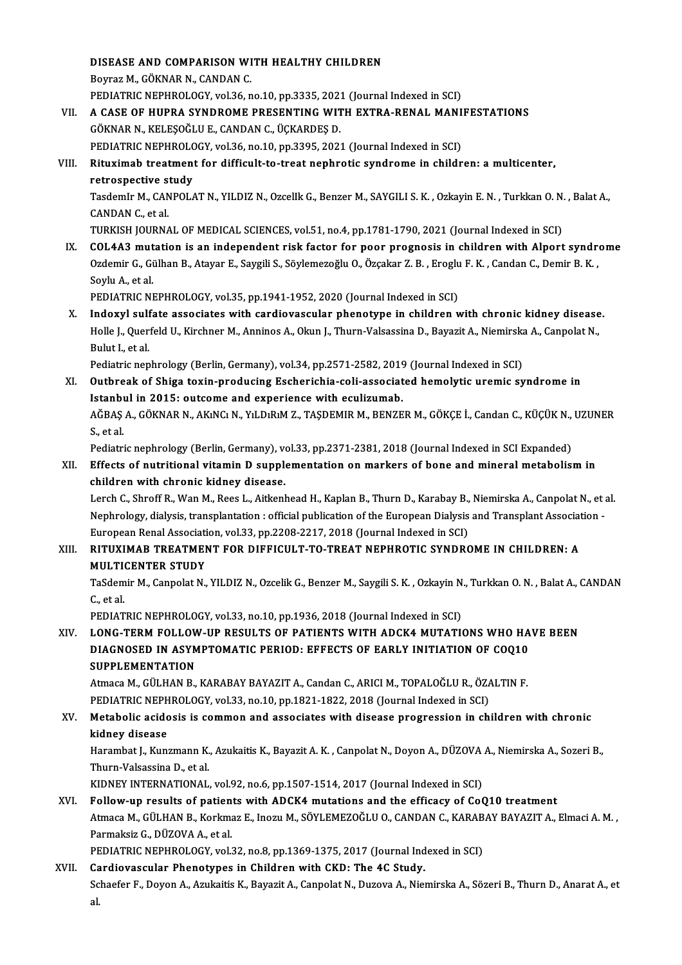# DISEASE AND COMPARISON WITH HEALTHY CHILDREN

DISEASE AND COMPARISON WI<br>Boyraz M., GÖKNAR N., CANDAN C.<br>PEDIATRIC NEBUROLOCY, vol 36 n DISEASE AND COMPARISON WITH HEALTHY CHILDREN<br>Boyraz M., GÖKNAR N., CANDAN C.<br>PEDIATRIC NEPHROLOGY, vol.36, no.10, pp.3335, 2021 (Journal Indexed in SCI)<br>A GASE OF HUPPA SYNDROME PRESENTING WITH EXTRA RENAL MANI

# Boyraz M., GÖKNAR N., CANDAN C.<br>PEDIATRIC NEPHROLOGY, vol.36, no.10, pp.3335, 2021 (Journal Indexed in SCI)<br>VII. – A CASE OF HUPRA SYNDROME PRESENTING WITH EXTRA-RENAL MANIFESTATIONS PEDIATRIC NEPHROLOGY, vol.36, no.10, pp.3335, 2023<br>A CASE OF HUPRA SYNDROME PRESENTING WIT<br>GÖKNAR N., KELEŞOĞLU E., CANDAN C., ÜÇKARDEŞ D.<br>PEDIATRIC NEPHROLOCY .vol.36, no.10, np.3395, 302. A CASE OF HUPRA SYNDROME PRESENTING WITH EXTRA-RENAL MANI<br>GÖKNAR N., KELEŞOĞLU E., CANDAN C., ÜÇKARDEŞ D.<br>PEDIATRIC NEPHROLOGY, vol.36, no.10, pp.3395, 2021 (Journal Indexed in SCI)<br>Bituyimah traatmant for difficult to tra GÖKNAR N., KELEŞOĞLU E., CANDAN C., ÜÇKARDEŞ D.<br>PEDIATRIC NEPHROLOGY, vol.36, no.10, pp.3395, 2021 (Journal Indexed in SCI)<br>VIII. Rituximab treatment for difficult-to-treat nephrotic syndrome in children: a multicenter

# PEDIATRIC NEPHROLO<br>Rituximab treatment<br>retrospective study<br>Tesdemir M. CANPOLO Rituximab treatment for difficult-to-treat nephrotic syndrome in children: a multicenter,<br>retrospective study<br>TasdemIr M., CANPOLAT N., YILDIZ N., OzcelIk G., Benzer M., SAYGILI S. K. , Ozkayin E. N. , Turkkan O. N. , Bala

**retrospective s<br>Tasdemir M., CAN<br>CANDAN C., et al.<br>TURVISH JOURNA** 

CANDAN C., et al.<br>TURKISH JOURNAL OF MEDICAL SCIENCES, vol.51, no.4, pp.1781-1790, 2021 (Journal Indexed in SCI)

IX. COL4A3mutation is an independent risk factor for poor prognosis in children with Alport syndrome TURKISH JOURNAL OF MEDICAL SCIENCES, vol.51, no.4, pp.1781-1790, 2021 (Journal Indexed in SCI)<br>COL4A3 mutation is an independent risk factor for poor prognosis in children with Alport syndre<br>Ozdemir G., Gülhan B., Atayar E COL4A3 mut<br>Ozdemir G., Gi<br>Soylu A., et al.<br>PEDIATRIC NI Ozdemir G., Gülhan B., Atayar E., Saygili S., Söylemezoğlu O., Özçakar Z. B. , Eroglu<br>Soylu A., et al.<br>PEDIATRIC NEPHROLOGY, vol.35, pp.1941-1952, 2020 (Journal Indexed in SCI)<br>Indowyl sulfate associates with condievessula

Soylu A., et al.<br>PEDIATRIC NEPHROLOGY, vol.35, pp.1941-1952, 2020 (Journal Indexed in SCI)<br>X. Indoxyl sulfate associates with cardiovascular phenotype in children with chronic kidney disease.<br>Helle L. Querfeld H. Kirshner PEDIATRIC NEPHROLOGY, vol.35, pp.1941-1952, 2020 (Journal Indexed in SCI)<br>Indoxyl sulfate associates with cardiovascular phenotype in children with chronic kidney disease<br>Holle J., Querfeld U., Kirchner M., Anninos A., Oku Indoxyl sulf<br>Holle J., Quer:<br>Bulut I., et al.<br>Pediatris non Holle J., Querfeld U., Kirchner M., Anninos A., Okun J., Thurn-Valsassina D., Bayazit A., Niemirska A., Canpolat N.,<br>Bulut I., et al.

Pediatric nephrology (Berlin, Germany), vol.34, pp.2571-2582, 2019 (Journal Indexed in SCI)

## XI. Outbreak of Shiga toxin-producing Escherichia-coli-associated hemolytic uremic syndrome in Outbreak of Shiga toxin-producing Escherichia-coli-associated hemolytic uremic syndrome in<br>Istanbul in 2015: outcome and experience with eculizumab.<br>AĞBAŞ A., GÖKNAR N., AKıNCı N., YıLDıRıM Z., TAŞDEMIR M., BENZER M., GÖKÇ Istanbul in 2015: outcome and experience with eculizumab.<br>AĞBAŞ A., GÖKNAR N., AKıNCı N., YıLDıRıM Z., TAŞDEMIR M., BENZE<br>S., et al.

AĞBAŞ A., GÖKNAR N., AKıNCı N., YıLDıRıM Z., TAŞDEMIR M., BENZER M., GÖKÇE İ., Candan C., KÜÇÜK N.,<br>S., et al.<br>Pediatric nephrology (Berlin, Germany), vol.33, pp.2371-2381, 2018 (Journal Indexed in SCI Expanded)<br>Effects of

Pediatric nephrology (Berlin, Germany), vol.33, pp.2371-2381, 2018 (Journal Indexed in SCI Expanded)

# XII. Effects of nutritional vitamin D supplementation on markers of bone and mineral metabolism in children with chronic kidney disease. Effects of nutritional vitamin D supplementation on markers of bone and mineral metabolism in<br>children with chronic kidney disease.<br>Lerch C., Shroff R., Wan M., Rees L., Aitkenhead H., Kaplan B., Thurn D., Karabay B., Niem

children with chronic kidney disease.<br>Lerch C., Shroff R., Wan M., Rees L., Aitkenhead H., Kaplan B., Thurn D., Karabay B., Niemirska A., Canpolat N., et<br>Nephrology, dialysis, transplantation : official publication of the Lerch C., Shroff R., Wan M., Rees L., Aitkenhead H., Kaplan B., Thurn D., Karabay B.,<br>Nephrology, dialysis, transplantation : official publication of the European Dialysis<br>European Renal Association, vol.33, pp.2208-2217, Nephrology, dialysis, transplantation : official publication of the European Dialysis and Transplant Association<br>European Renal Association, vol.33, pp.2208-2217, 2018 (Journal Indexed in SCI)<br>XIII. RITUXIMAB TREATMENT

# European Renal Associati<br>RITUXIMAB TREATMEI<br>MULTICENTER STUDY<br>TeSdemir M. Cennelat N. RITUXIMAB TREATMENT FOR DIFFICULT-TO-TREAT NEPHROTIC SYNDROME IN CHILDREN: A<br>MULTICENTER STUDY<br>TaSdemir M., Canpolat N., YILDIZ N., Ozcelik G., Benzer M., Saygili S. K. , Ozkayin N., Turkkan O. N. , Balat A., CANDAN<br>C. et

MULTI<br>TaSdem<br>C., et al.<br>PEDIAT TaSdemir M., Canpolat N., YILDIZ N., Ozcelik G., Benzer M., Saygili S. K. , Ozkayin N<br>C., et al.<br>PEDIATRIC NEPHROLOGY, vol.33, no.10, pp.1936, 2018 (Journal Indexed in SCI)<br>LONG TERM FOLLOW, UP RESULTS OF RATIENTS WITH ADC

# C., et al.<br>PEDIATRIC NEPHROLOGY, vol.33, no.10, pp.1936, 2018 (Journal Indexed in SCI)<br>XIV. LONG-TERM FOLLOW-UP RESULTS OF PATIENTS WITH ADCK4 MUTATIONS WHO HAVE BEEN<br>RIACNOSED IN ASVARTOMATIC RERIOD: EFFECTS OF FARLY INIT PEDIATRIC NEPHROLOGY, vol.33, no.10, pp.1936, 2018 (Journal Indexed in SCI)<br>LONG-TERM FOLLOW-UP RESULTS OF PATIENTS WITH ADCK4 MUTATIONS WHO HA<br>DIAGNOSED IN ASYMPTOMATIC PERIOD: EFFECTS OF EARLY INITIATION OF COQ10<br>SUPPL E LONG-TERM FOLLOW<br>DIAGNOSED IN ASYM<br>SUPPLEMENTATION DIAGNOSED IN ASYMPTOMATIC PERIOD: EFFECTS OF EARLY INITIATION OF COQ10<br>SUPPLEMENTATION<br>Atmaca M., GÜLHAN B., KARABAY BAYAZIT A., Candan C., ARICI M., TOPALOĞLU R., ÖZALTIN F.<br>PEDIATPIC NEPHROLOCY .vol 33. no.19. np.1921-19

SUPPLEMENTATION<br>Atmaca M., GÜLHAN B., KARABAY BAYAZIT A., Candan C., ARICI M., TOPALOĞLU R., ÖZA<br>PEDIATRIC NEPHROLOGY, vol.33, no.10, pp.1821-1822, 2018 (Journal Indexed in SCI)<br>Metabolis asidosis is sommon and assosiates PEDIATRIC NEPHROLOGY, vol.33, no.10, pp.1821-1822, 2018 (Journal Indexed in SCI)

# XV. Metabolic acidosis is common and associates with disease progression in children with chronic Metabolic acidosis is common and associates with disease progression in children with chronic<br>kidney disease<br>Harambat J., Kunzmann K., Azukaitis K., Bayazit A. K. , Canpolat N., Doyon A., DÜZOVA A., Niemirska A., Sozeri B.

kidney disease<br>Harambat J., Kunzmann K.<br>Thurn-Valsassina D., et al.<br>KIDNEV INTERNATIONAL Harambat J., Kunzmann K., Azukaitis K., Bayazit A. K. , Canpolat N., Doyon A., DÜZOVA<br>Thurn-Valsassina D., et al.<br>KIDNEY INTERNATIONAL, vol.92, no.6, pp.1507-1514, 2017 (Journal Indexed in SCI)<br>Follow un requite of patient

Thurn-Valsassina D., et al.<br>KIDNEY INTERNATIONAL, vol.92, no.6, pp.1507-1514, 2017 (Journal Indexed in SCI)<br>XVI. Follow-up results of patients with ADCK4 mutations and the efficacy of CoQ10 treatment KIDNEY INTERNATIONAL, vol.92, no.6, pp.1507-1514, 2017 (Journal Indexed in SCI)<br>Follow-up results of patients with ADCK4 mutations and the efficacy of CoQ10 treatment<br>Atmaca M., GÜLHAN B., Korkmaz E., Inozu M., SÖYLEMEZOĞL Parmaksiz G., DÜZOVA A., et al. Atmaca M., GÜLHAN B., Korkmaz E., Inozu M., SÖYLEMEZOĞLU O., CANDAN C., KARAB<br>Parmaksiz G., DÜZOVA A., et al.<br>PEDIATRIC NEPHROLOGY, vol.32, no.8, pp.1369-1375, 2017 (Journal Indexed in SCI)<br>Cardiovassular Phanatunes in Chi

PEDIATRIC NEPHROLOGY, vol.32, no.8, pp.1369-1375, 2017 (Journal Indexed in SCI)<br>XVII. Cardiovascular Phenotypes in Children with CKD: The 4C Study.

Schaefer F., Doyon A., Azukaitis K., Bayazit A., Canpolat N., Duzova A., Niemirska A., Sözeri B., Thurn D., Anarat A., et<br>al. Ca<br>Sc<br>al.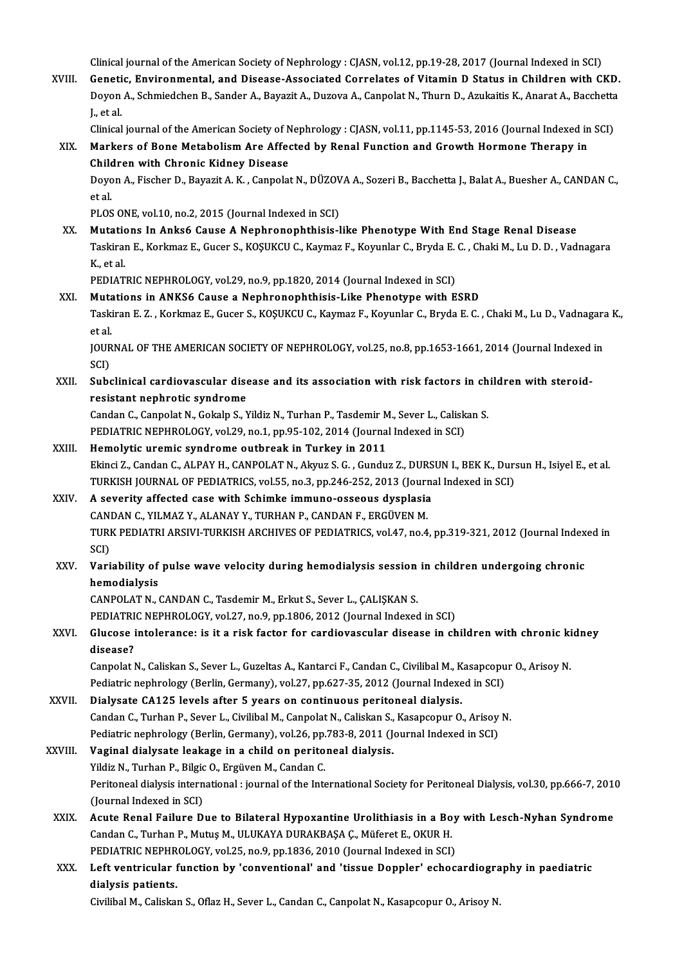Clinical journal of the American Society of Nephrology : CJASN, vol.12, pp.19-28, 2017 (Journal Indexed in SCI)<br>Conetis, Environmental, and Disease Associated Conrelates of Vitamin D Status in Children with Ci

Clinical journal of the American Society of Nephrology : CJASN, vol.12, pp.19-28, 2017 (Journal Indexed in SCI)<br>XVIII. Genetic, Environmental, and Disease-Associated Correlates of Vitamin D Status in Children with CKD.<br>Dev Clinical journal of the American Society of Nephrology : CJASN, vol.12, pp.19-28, 2017 (Journal Indexed in SCI)<br>Genetic, Environmental, and Disease-Associated Correlates of Vitamin D Status in Children with CKD.<br>Doyon A., Genetic, Environmental, and Disease-Associated Correlates of Vitamin D Status in Children with CKD.<br>Doyon A., Schmiedchen B., Sander A., Bayazit A., Duzova A., Canpolat N., Thurn D., Azukaitis K., Anarat A., Bacchetta<br>J., Doyon A., Schmiedchen B., Sander A., Bayazit A., Duzova A., Canpolat N., Thurn D., Azukaitis K., Anarat A., Bacchetta<br>J., et al.<br>Clinical journal of the American Society of Nephrology : CJASN, vol.11, pp.1145-53, 2016 (Jou

XIX. Markers of Bone Metabolism Are Affected by Renal Function and Growth Hormone Therapy in Clinical journal of the American Society of N<br>Markers of Bone Metabolism Are Affer<br>Children with Chronic Kidney Disease<br>Doven A. Fischer D. Boyezit A. K. Cannelet Markers of Bone Metabolism Are Affected by Renal Function and Growth Hormone Therapy in<br>Children with Chronic Kidney Disease<br>Doyon A., Fischer D., Bayazit A. K. , Canpolat N., DÜZOVA A., Sozeri B., Bacchetta J., Balat A.,

Children with Chronic Kidney Disease<br>Doyon A., Fischer D., Bayazit A. K. , Canpolat N., DÜZOV<br>et al.<br>PLOS ONE, vol.10, no.2, 2015 (Journal Indexed in SCI) Doyon A., Fischer D., Bayazit A. K. , Canpolat N., DÜZOV<br>et al.<br>PLOS ONE, vol.10, no.2, 2015 (Journal Indexed in SCI)<br>Mutations In Anksé Gause A Nonbronanhthisis l

et al.<br>PLOS ONE, vol.10, no.2, 2015 (Journal Indexed in SCI)<br>XX. Mutations In Anks6 Cause A Nephronophthisis-like Phenotype With End Stage Renal Disease<br>Teckiran E. Korkmaz E. Gueen S. Kosukgu G. Kormaz E. Kormalar G. Bryd Taskiran E., Korkmaz E., Gucer S., KOŞUKCU C., Kaymaz F., Koyunlar C., Bryda E. C. , Chaki M., Lu D. D. , Vadnagara<br>K., et al. Mutatio<br>Taskirai<br>K., et al.<br>PEDIAT Taskiran E., Korkmaz E., Gucer S., KOŞUKCU C., Kaymaz F., Koyunlar C., Bryda E.<br>K., et al.<br>PEDIATRIC NEPHROLOGY, vol.29, no.9, pp.1820, 2014 (Journal Indexed in SCI)<br>Mutations in ANKSE Cause a Nanhronophthisis I ike Phonot

- K, et al.<br>PEDIATRIC NEPHROLOGY, vol.29, no.9, pp.1820, 2014 (Journal Indexed in SCI)<br>XXI. Mutations in ANKS6 Cause a Nephronophthisis-Like Phenotype with ESRD<br>Teckinan E.Z., Verkman E. Guser S. VOSUKGU.C. Vorman E. Vournla PEDIATRIC NEPHROLOGY, vol.29, no.9, pp.1820, 2014 (Journal Indexed in SCI)<br><mark>Mutations in ANKS6 Cause a Nephronophthisis-Like Phenotype with ESRD</mark><br>Taskiran E. Z. , Korkmaz E., Gucer S., KOŞUKCU C., Kaymaz F., Koyunlar C., B Muta<br>Taski<br>et al.<br>IOUP Taskiran E. Z. , Korkmaz E., Gucer S., KOŞUKCU C., Kaymaz F., Koyunlar C., Bryda E. C. , Chaki M., Lu D., Vadnagara<br>et al.<br>JOURNAL OF THE AMERICAN SOCIETY OF NEPHROLOGY, vol.25, no.8, pp.1653-1661, 2014 (Journal Indexed in et al.<br>JOURNAL OF THE AMERICAN SOCIETY OF NEPHROLOGY, vol.25, no.8, pp.1653-1661, 2014 (Journal Indexed in<br>SCI)
- JOURNAL OF THE AMERICAN SOCIETY OF NEPHROLOGY, vol.25, no.8, pp.1653-1661, 2014 (Journal Indexed<br>SCI)<br>XXII. Subclinical cardiovascular disease and its association with risk factors in children with steroid-<br>resistent perha resistant nephrotic syndrome<br>Candan C., Canpolat N., Gokalp S., Yildiz N., Turhan P., Tasdemir M., Sever L., Caliskan S. Subclinical cardiovascular disease and its association with risk factors in ch<br>resistant nephrotic syndrome<br>Candan C., Canpolat N., Gokalp S., Yildiz N., Turhan P., Tasdemir M., Sever L., Caliskan S.<br>REDIATRIC NERHROLOCY v resistant nephrotic syndrome<br>Candan C., Canpolat N., Gokalp S., Yildiz N., Turhan P., Tasdemir M., Sever L., Calisk<br>PEDIATRIC NEPHROLOGY, vol.29, no.1, pp.95-102, 2014 (Journal Indexed in SCI)<br>Hamolytis uromis syndrome out

- Candan C., Canpolat N., Gokalp S., Yildiz N., Turhan P., Tasdemir M<br>PEDIATRIC NEPHROLOGY, vol.29, no.1, pp.95-102, 2014 (Journa<br>XXIII. Hemolytic uremic syndrome outbreak in Turkey in 2011 PEDIATRIC NEPHROLOGY, vol.29, no.1, pp.95-102, 2014 (Journal Indexed in SCI)<br>Hemolytic uremic syndrome outbreak in Turkey in 2011<br>Ekinci Z., Candan C., ALPAY H., CANPOLAT N., Akyuz S. G. , Gunduz Z., DURSUN I., BEK K., Dur Hemolytic uremic syndrome outbreak in Turkey in 2011<br>Ekinci Z., Candan C., ALPAY H., CANPOLAT N., Akyuz S. G. , Gunduz Z., DURSUN I., BEK K., Dur:<br>TURKISH JOURNAL OF PEDIATRICS, vol.55, no.3, pp.246-252, 2013 (Journal Inde Ekinci Z., Candan C., ALPAY H., CANPOLAT N., Akyuz S. G., Gunduz Z., DURS<br>TURKISH JOURNAL OF PEDIATRICS, vol.55, no.3, pp.246-252, 2013 (Journa<br>XXIV. A severity affected case with Schimke immuno-osseous dysplasia<br>CANDAN C.
- TURKISH JOURNAL OF PEDIATRICS, vol.55, no.3, pp.246-252, 2013 (Journal Indexed in SCI)<br>A severity affected case with Schimke immuno-osseous dysplasia<br>CANDAN C., YILMAZ Y., ALANAY Y., TURHAN P., CANDAN F., ERGÜVEN M. A severity affected case with Schimke immuno-osseous dysplasia<br>CANDAN C., YILMAZ Y., ALANAY Y., TURHAN P., CANDAN F., ERGÜVEN M.<br>TURK PEDIATRI ARSIVI-TURKISH ARCHIVES OF PEDIATRICS, vol.47, no.4, pp.319-321, 2012 (Journal CAN<br>TURI<br>SCI)<br>Vari TURK PEDIATRI ARSIVI-TURKISH ARCHIVES OF PEDIATRICS, vol.47, no.4, pp.319-321, 2012 (Journal Index<br>SCI)<br>XXV. Variability of pulse wave velocity during hemodialysis session in children undergoing chronic<br>hemodialysis
- SCI)<br>XXV. Variability of pulse wave velocity during hemodialysis session in children undergoing chronic<br>hemodialysis

CANPOLAT N., CANDAN C., Tasdemir M., Erkut S., Sever L., ÇALIŞKAN S.

PEDIATRIC NEPHROLOGY, vol.27, no.9, pp.1806, 2012 (Journal Indexed in SCI)

# CANPOLAT N., CANDAN C., Tasdemir M., Erkut S., Sever L., ÇALIŞKAN S.<br>PEDIATRIC NEPHROLOGY, vol.27, no.9, pp.1806, 2012 (Journal Indexed in SCI)<br>XXVI. Glucose intolerance: is it a risk factor for cardiovascular disease in c PEDIATRI<br>Glucose i<br>disease?<br>Cannalat l Glucose intolerance: is it a risk factor for cardiovascular disease in children with chronic ki<br>disease?<br>Canpolat N., Caliskan S., Sever L., Guzeltas A., Kantarci F., Candan C., Civilibal M., Kasapcopur O., Arisoy N<br>Pediat

disease?<br>Canpolat N., Caliskan S., Sever L., Guzeltas A., Kantarci F., Candan C., Civilibal M., Kasapcopu<br>Pediatric nephrology (Berlin, Germany), vol.27, pp.627-35, 2012 (Journal Indexed in SCI)<br>Dialysate CA125, levels aft

Canpolat N., Caliskan S., Sever L., Guzeltas A., Kantarci F., Candan C., Civilibal M., K<br>Pediatric nephrology (Berlin, Germany), vol.27, pp.627-35, 2012 (Journal Indexe<br>XXVII. Dialysate CA125 levels after 5 years on contin Pediatric nephrology (Berlin, Germany), vol.27, pp.627-35, 2012 (Journal Indexed in SCI)<br>Dialysate CA125 levels after 5 years on continuous peritoneal dialysis.<br>Candan C., Turhan P., Sever L., Civilibal M., Canpolat N., Ca Dialysate CA125 levels after 5 years on continuous peritoneal dialysis.<br>Candan C., Turhan P., Sever L., Civilibal M., Canpolat N., Caliskan S., Kasapcopur O., Arisoy<br>Pediatric nephrology (Berlin, Germany), vol.26, pp.783-8 Candan C., Turhan P., Sever L., Civilibal M., Canpolat N., Caliskan S.,<br>Pediatric nephrology (Berlin, Germany), vol.26, pp.783-8, 2011 (Journal dialysis.<br>XXVIII. Vaginal dialysate leakage in a child on peritoneal dialysis.

# Pediatric nephrology (Berlin, Germany), vol.26, pp.<br>Vaginal dialysate leakage in a child on perito<br>Yildiz N., Turhan P., Bilgic O., Ergüven M., Candan C.<br>Peritoneal dialysis international siournal of the Inte Yildiz N., Turhan P., Bilgic O., Ergüven M., Candan C.

Vaginal dialysate leakage in a child on peritoneal dialysis.<br>Yildiz N., Turhan P., Bilgic O., Ergüven M., Candan C.<br>Peritoneal Dialysis, vol.30, pp.666-7, 2010<br>(Iournal Indexed in SCI)

XXIX. Acute Renal Failure Due to Bilateral Hypoxantine Urolithiasis in a Boy with Lesch-Nyhan Syndrome Candan C., Turhan P., Mutuş M., ULUKAYA DURAKBAŞA Ç., Müferet E., OKUR H. Acute Renal Failure Due to Bilateral Hypoxantine Urolithiasis in a Boy<br>Candan C., Turhan P., Mutuş M., ULUKAYA DURAKBAŞA Ç., Müferet E., OKUR H.<br>PEDIATRIC NEPHROLOGY, vol.25, no.9, pp.1836, 2010 (Journal Indexed in SCI)<br>Le

# XXX. Left ventricular function by 'conventional' and 'tissue Doppler' echocardiography in paediatric PEDIATRIC NEPHR<br>Left ventricular<br>dialysis patients.<br>Civilibel M. Colieka

Civilibal M., Caliskan S., Oflaz H., Sever L., Candan C., Canpolat N., Kasapcopur O., Arisoy N.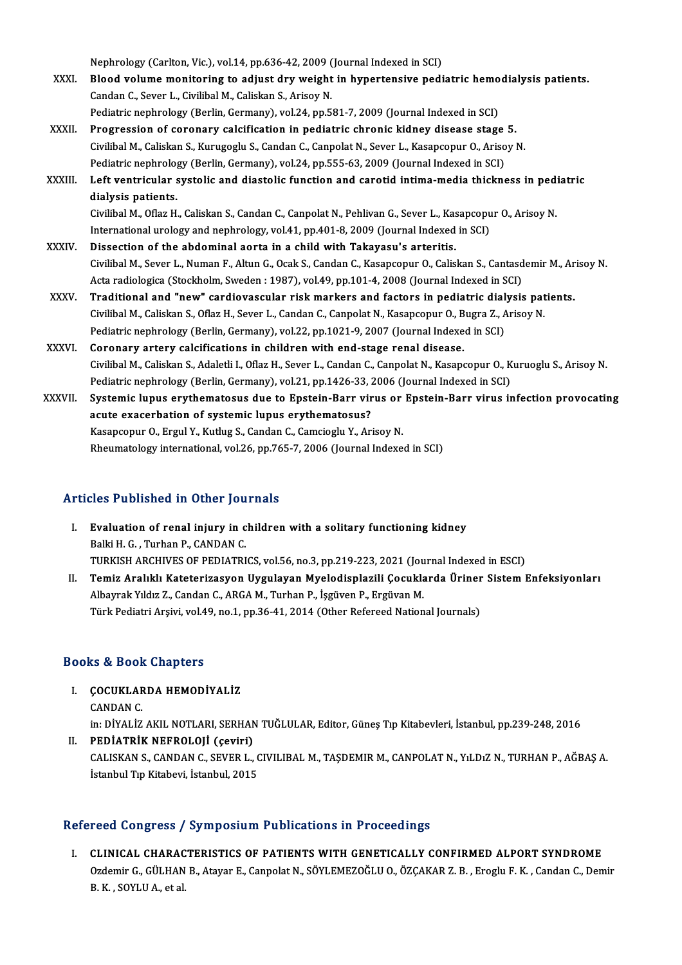Nephrology (Carlton, Vic.), vol.14, pp.636-42, 2009 (Journal Indexed in SCI)<br>Plaad volume manitaring to adjust duy weight in hypertansiye padj

- Nephrology (Carlton, Vic.), vol.14, pp.636-42, 2009 (Journal Indexed in SCI)<br>XXXI. Blood volume monitoring to adjust dry weight in hypertensive pediatric hemodialysis patients. Nephrology (Carlton, Vic.), vol.14, pp.636-42, 2009 (<br>Blood volume monitoring to adjust dry weight<br>Candan C., Sever L., Civilibal M., Caliskan S., Arisoy N. Blood volume monitoring to adjust dry weight in hypertensive pediatric hemo<br>Candan C., Sever L., Civilibal M., Caliskan S., Arisoy N.<br>Pediatric nephrology (Berlin, Germany), vol.24, pp.581-7, 2009 (Journal Indexed in SCI)<br> Candan C., Sever L., Civilibal M., Caliskan S., Arisoy N.<br>Pediatric nephrology (Berlin, Germany), vol.24, pp.581-7, 2009 (Journal Indexed in SCI)<br>XXXII. Progression of coronary calcification in pediatric chronic kidney dis
- Pediatric nephrology (Berlin, Germany), vol.24, pp.581-7, 2009 (Journal Indexed in SCI)<br>Progression of coronary calcification in pediatric chronic kidney disease stage 5.<br>Civilibal M., Caliskan S., Kurugoglu S., Candan C., Progression of coronary calcification in pediatric chronic kidney disease stage<br>Civilibal M., Caliskan S., Kurugoglu S., Candan C., Canpolat N., Sever L., Kasapcopur O., Ariso<br>Pediatric nephrology (Berlin, Germany), vol.24 Civilibal M., Caliskan S., Kurugoglu S., Candan C., Canpolat N., Sever L., Kasapcopur O., Arisoy N.<br>Pediatric nephrology (Berlin, Germany), vol.24, pp.555-63, 2009 (Journal Indexed in SCI)<br>XXXIII. Left ventricular systolic
- Pediatric nephrology (Berlin, Germany), vol.24, pp.555-63, 2009 (Journal Indexed in SCI)<br>Left ventricular systolic and diastolic function and carotid intima-media thickness in pedi<br>dialysis patients.<br>Civilibal M., Oflaz H. Left ventricular systolic and diastolic function and carotid intima-media thickness in pedialysis patients.<br>Civilibal M., Oflaz H., Caliskan S., Candan C., Canpolat N., Pehlivan G., Sever L., Kasapcopur O., Arisoy N.<br>Inter

dialysis patients.<br>Civilibal M., Oflaz H., Caliskan S., Candan C., Canpolat N., Pehlivan G., Sever L., Kasapcopu<br>International urology and nephrology, vol.41, pp.401-8, 2009 (Journal Indexed in SCI)<br>Dissection of the abdom Civilibal M., Oflaz H., Caliskan S., Candan C., Canpolat N., Pehlivan G., Sever L., Kas<br>International urology and nephrology, vol.41, pp.401-8, 2009 (Journal Indexed<br>XXXIV. Dissection of the abdominal aorta in a child with

- Dissection of the abdominal aorta in a child with Takayasu's arteritis.<br>Civilibal M., Sever L., Numan F., Altun G., Ocak S., Candan C., Kasapcopur O., Caliskan S., Cantasdemir M., Arisoy N Dissection of the abdominal aorta in a child with Takayasu's arteritis.<br>Civilibal M., Sever L., Numan F., Altun G., Ocak S., Candan C., Kasapcopur O., Caliskan S., Cantasd<br>Acta radiologica (Stockholm, Sweden : 1987), vol.4 Civilibal M., Sever L., Numan F., Altun G., Ocak S., Candan C., Kasapcopur O., Caliskan S., Cantasdemir M., Ar<br>Acta radiologica (Stockholm, Sweden : 1987), vol.49, pp.101-4, 2008 (Journal Indexed in SCI)<br>XXXV. Traditional
- Acta radiologica (Stockholm, Sweden : 1987), vol.49, pp.101-4, 2008 (Journal Indexed in SCI)<br>Traditional and "new" cardiovascular risk markers and factors in pediatric dialysis pat<br>Civilibal M., Caliskan S., Oflaz H., Seve Traditional and "new" cardiovascular risk markers and factors in pediatric dial<br>Civilibal M., Caliskan S., Oflaz H., Sever L., Candan C., Canpolat N., Kasapcopur O., Bugra Z., A<br>Pediatric nephrology (Berlin, Germany), vol. Civilibal M., Caliskan S., Oflaz H., Sever L., Candan C., Canpolat N., Kasapcopur O., Bugra Z., Arisoy N.<br>Pediatric nephrology (Berlin, Germany), vol.22, pp.1021-9, 2007 (Journal Indexed in SCI)<br>XXXVI. Coronary artery
- Pediatric nephrology (Berlin, Germany), vol.22, pp.1021-9, 2007 (Journal Indexed in SCI)<br>Coronary artery calcifications in children with end-stage renal disease.<br>Civilibal M., Caliskan S., Adaletli I., Oflaz H., Sever L., Coronary artery calcifications in children with end-stage renal disease.<br>Civilibal M., Caliskan S., Adaletli I., Oflaz H., Sever L., Candan C., Canpolat N., Kasapcopur O., K<br>Pediatric nephrology (Berlin, Germany), vol.21, Civilibal M., Caliskan S., Adaletli I., Oflaz H., Sever L., Candan C., Canpolat N., Kasapcopur O., Kuruoglu S., Arisoy N.<br>Pediatric nephrology (Berlin, Germany), vol.21, pp.1426-33, 2006 (Journal Indexed in SCI)<br>XXXVII. Sy
- Pediatric nephrology (Berlin, Germany), vol.21, pp.1426-33, 2<br>Systemic lupus erythematosus due to Epstein-Barr vir<br>acute exacerbation of systemic lupus erythematosus?<br>Kasansonur O, Fraul V, Kutlus S, Candan C, Camsioslu V, Systemic lupus erythematosus due to Epstein-Barr virus or Epstein-Barr virus infection provocating<br>acute exacerbation of systemic lupus erythematosus?<br>Kasapcopur O., Ergul Y., Kutlug S., Candan C., Camcioglu Y., Arisoy N. Rheumatology international, vol.26, pp.765-7, 2006 (Journal Indexed in SCI)

## Articles Published in Other Journals

- rticles Published in Other Journals<br>I. Evaluation of renal injury in children with a solitary functioning kidney Balki<br>Balki H. G. , Turhan P., CANDAN C.<br>TURKIEL ARCHIVES OF REDIATRI Evaluation of renal injury in children with a solitary functioning kidney<br>Balki H. G. , Turhan P., CANDAN C.<br>TURKISH ARCHIVES OF PEDIATRICS, vol.56, no.3, pp.219-223, 2021 (Journal Indexed in ESCI)<br>Temir Aralıklı Kataterin Balki H. G. , Turhan P., CANDAN C.<br>TURKISH ARCHIVES OF PEDIATRICS, vol.56, no.3, pp.219-223, 2021 (Journal Indexed in ESCI)<br>II. Temiz Aralıklı Kateterizasyon Uygulayan Myelodisplazili Çocuklarda Üriner Sistem Enfeksiyonlar
- TURKISH ARCHIVES OF PEDIATRICS, vol.56, no.3, pp.219-223, 2021 (Jou<br>Temiz Aralıklı Kateterizasyon Uygulayan Myelodisplazili Çocukla<br>Albayrak Yıldız Z., Candan C., ARGA M., Turhan P., İşgüven P., Ergüvan M.<br>Türk Podiatri Ar Temiz Aralıklı Kateterizasyon Uygulayan Myelodisplazili Çocuklarda Üriner Sistem Enfeksiyonları<br>Albayrak Yıldız Z., Candan C., ARGA M., Turhan P., İşgüven P., Ergüvan M.<br>Türk Pediatri Arşivi, vol.49, no.1, pp.36-41, 2014 (

### Books&Book Chapters

I. ÇOCUKLARDA HEMODİYALİZ CANDANC.

ÇOCUKLARDA HEMODİYALİZ<br>CANDAN C.<br>in: DİYALİZ AKIL NOTLARI, SERHAN TUĞLULAR, Editor, Güneş Tıp Kitabevleri, İstanbul, pp.239-248, 2016<br>PEDİATRİK NEFROLOJİ (Sevini) CANDAN C.<br>in: DİYALİZ AKIL NOTLARI, SERHAN<br>II. PEDİATRİK NEFROLOJİ (çeviri)

in: DİYALİZ AKIL NOTLARI, SERHAN TUĞLULAR, Editor, Güneş Tıp Kitabevleri, İstanbul, pp.239-248, 2016<br>PEDİATRİK NEFROLOJİ (çeviri)<br>CALISKAN S., CANDAN C., SEVER L., CIVILIBAL M., TAŞDEMIR M., CANPOLAT N., YıLDıZ N., TURHAN PEDİATRİK NEFROLOJİ (çeviri)<br>CALISKAN S., CANDAN C., SEVER L., (<br>İstanbul Tıp Kitabevi, İstanbul, 2015

# İstanbul Tıp Kitabevi, İstanbul, 2015<br>Refereed Congress / Symposium Publications in Proceedings

I. CLINICAL CHARACTERISTICS OF PATIENTS WITH GENETICALLY CONFIRMED ALPORT SYNDROME TOCA OSHATOSS / SYMPOSIAM I ASHOARISM IN ITOCOCAINGS<br>CLINICAL CHARACTERISTICS OF PATIENTS WITH GENETICALLY CONFIRMED ALPORT SYNDROME<br>Ozdemir G., GÜLHAN B., Atayar E., Canpolat N., SÖYLEMEZOĞLU O., ÖZÇAKAR Z. B. , Eroglu F. CLINICAL CHARAC<br>Ozdemir G., GÜLHAN<br>B. K. , SOYLU A., et al.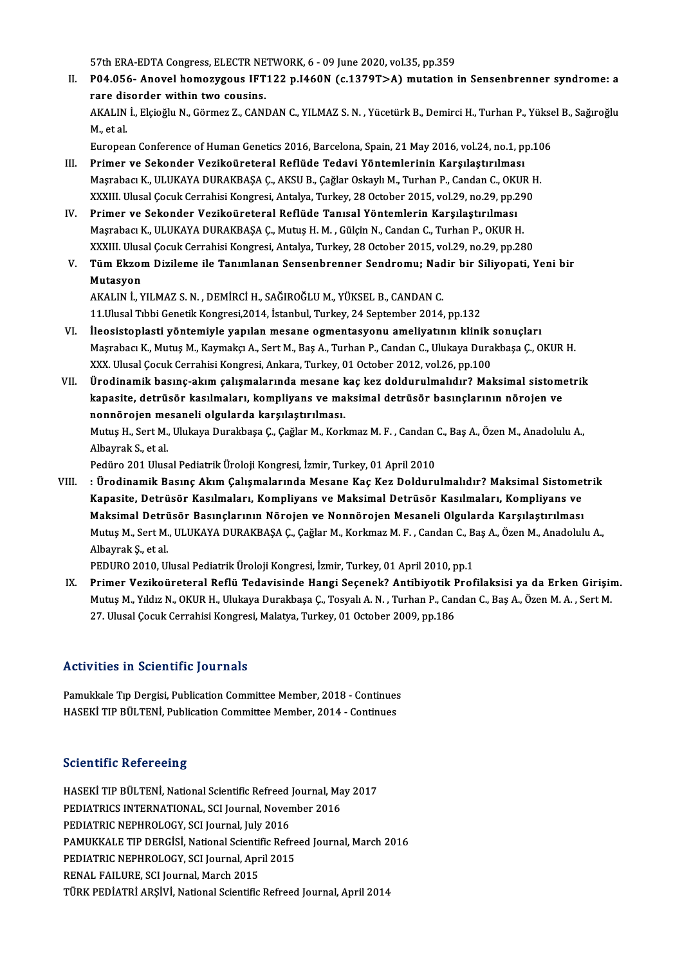57th ERA-EDTA Congress, ELECTR NETWORK, 6 - 09 June 2020, vol.35, pp.359<br>P04.056 . Anoval bomogygous IET122.p I460N (s.1270T>A) mutation

II. P04.056- Anovel homozygous IFT122 p.I460N (c.1379T>A) mutation in Sensenbrenner syndrome: a<br>rare disorder within two cousins. 57th ERA-EDTA Congress, ELECTR NE<br>P04.056- Anovel homozygous IFT<br>rare disorder within two cousins. P04.056- Anovel homozygous IFT122 p.I460N (c.1379T>A) mutation in Sensenbrenner syndrome: a<br>rare disorder within two cousins.<br>AKALIN İ., Elçioğlu N., Görmez Z., CANDAN C., YILMAZ S. N. , Yücetürk B., Demirci H., Turhan P., r<mark>are dis</mark><br>AKALIN<br>M., et al. AKALIN İ., Elçioğlu N., Görmez Z., CANDAN C., YILMAZ S. N. , Yücetürk B., Demirci H., Turhan P., Yükse<br>M., et al.<br>European Conference of Human Genetics 2016, Barcelona, Spain, 21 May 2016, vol.24, no.1, pp.106<br>Primer ve Se M., et al.<br>European Conference of Human Genetics 2016, Barcelona, Spain, 21 May 2016, vol.24, no.1, pp.106<br>III. Primer ve Sekonder Vezikoüreteral Reflüde Tedavi Yöntemlerinin Karşılaştırılması

- European Conference of Human Genetics 2016, Barcelona, Spain, 21 May 2016, vol.24, no.1, pp.10<br>Primer ve Sekonder Vezikoüreteral Reflüde Tedavi Yöntemlerinin Karşılaştırılması<br>Maşrabacı K., ULUKAYA DURAKBAŞA Ç., AKSU B., Ç Primer ve Sekonder Vezikoüreteral Reflüde Tedavi Yöntemlerinin Karşılaştırılması<br>Maşrabacı K., ULUKAYA DURAKBAŞA Ç., AKSU B., Çağlar Oskaylı M., Turhan P., Candan C., OKUR I<br>XXXIII. Ulusal Çocuk Cerrahisi Kongresi, Antalya XXXIII. Ulusal Çocuk Cerrahisi Kongresi, Antalya, Turkey, 28 October 2015, vol.29, no.29, pp.290<br>IV. Primer ve Sekonder Vezikoüreteral Reflüde Tanısal Yöntemlerin Karşılaştırılması
- XXXIII. Ulusal Çocuk Cerrahisi Kongresi, Antalya, Turkey, 28 October 2015, vol.29, no.29, pp.29<br><mark>Primer ve Sekonder Vezikoüreteral Reflüde Tanısal Yöntemlerin Karşılaştırılması</mark><br>Maşrabacı K., ULUKAYA DURAKBAŞA Ç., Mutuş H. Primer ve Sekonder Vezikoüreteral Reflüde Tanısal Yöntemlerin Karşılaştırılması<br>Maşrabacı K., ULUKAYA DURAKBAŞA Ç., Mutuş H. M. , Gülçin N., Candan C., Turhan P., OKUR H.<br>XXXIII. Ulusal Çocuk Cerrahisi Kongresi, Antalya, T Maşrabacı K., ULUKAYA DURAKBAŞA Ç., Mutuş H. M. , Gülçin N., Candan C., Turhan P., OKUR H.<br>XXXIII. Ulusal Çocuk Cerrahisi Kongresi, Antalya, Turkey, 28 October 2015, vol.29, no.29, pp.280<br>V. Tüm Ekzom Dizileme ile Tanı
- XXXIII. Ulus<br><mark>Tüm Ekzor</mark><br>Mutasyon<br>AKALIN İ. N Mutasyon<br>AKALIN İ., YILMAZ S. N. , DEMİRCİ H., SAĞIROĞLU M., YÜKSEL B., CANDAN C.

11. Ulusal Tıbbi Genetik Kongresi, 2014, İstanbul, Turkey, 24 September 2014, pp.132 AKALIN İ., YILMAZ S. N. , DEMİRCİ H., SAĞIROĞLU M., YÜKSEL B., CANDAN C.<br>11.Ulusal Tıbbi Genetik Kongresi,2014, İstanbul, Turkey, 24 September 2014, pp.132<br>VI. İleosistoplasti yöntemiyle yapılan mesane ogmentasyonu ameliya

- 11.Ulusal Tıbbi Genetik Kongresi,2014, İstanbul, Turkey, 24 September 2014, pp.132<br>İleosistoplasti yöntemiyle yapılan mesane ogmentasyonu ameliyatının klinik sonuçları<br>Maşrabacı K., Mutuş M., Kaymakçı A., Sert M., Baş A., İleosistoplasti yöntemiyle yapılan mesane ogmentasyonu ameliyatının klinik :<br>Maşrabacı K., Mutuş M., Kaymakçı A., Sert M., Baş A., Turhan P., Candan C., Ulukaya Dura<br>XXX. Ulusal Çocuk Cerrahisi Kongresi, Ankara, Turkey, 01 Maşrabacı K., Mutuş M., Kaymakçı A., Sert M., Baş A., Turhan P., Candan C., Ulukaya Durakbaşa Ç., OKUR H.<br>XXX. Ulusal Çocuk Cerrahisi Kongresi, Ankara, Turkey, 01 October 2012, vol.26, pp.100<br>VII. Ürodinamik basınç-akı
- XXX. Ulusal Çocuk Cerrahisi Kongresi, Ankara, Turkey, 01 October 2012, vol.26, pp.100<br>Ürodinamik basınç-akım çalışmalarında mesane kaç kez doldurulmalıdır? Maksimal sistom<br>kapasite, detrüsör kasılmaları, kompliyans ve maks Ürodinamik basınç-akım çalışmalarında mesane k<br>kapasite, detrüsör kasılmaları, kompliyans ve ma<br>nonnörojen mesaneli olgularda karşılaştırılması.<br>Mutus H. Sert M. Ulukaya Durakbasa C. Cağlar M. Korl kapasite, detrüsör kasılmaları, kompliyans ve maksimal detrüsör basınçlarının nörojen ve<br>nonnörojen mesaneli olgularda karşılaştırılması.<br>Mutuş H., Sert M., Ulukaya Durakbaşa Ç., Çağlar M., Korkmaz M. F. , Candan C., Baş A

<mark>nonnörojen me</mark><br>Mutuş H., Sert M.,<br>Albayrak S., et al.<br>Podüre 201 Ulus Mutuş H., Sert M., Ulukaya Durakbaşa Ç., Çağlar M., Korkmaz M. F. , Candan (<br>Albayrak S., et al.<br>Pedüro 201 Ulusal Pediatrik Üroloji Kongresi, İzmir, Turkey, 01 April 2010<br>. Ürodinamik Basınc Akım Calısmalarında Masana Kas

Albayrak S., et al.<br>Pedüro 201 Ulusal Pediatrik Üroloji Kongresi, İzmir, Turkey, 01 April 2010<br>VIII. : Ürodinamik Basınç Akım Çalışmalarında Mesane Kaç Kez Doldurulmalıdır? Maksimal Sistometrik<br>Kanasita, Datrüsör Kasıl Pedüro 201 Ulusal Pediatrik Üroloji Kongresi, İzmir, Turkey, 01 April 2010<br>: Ürodinamik Basınç Akım Çalışmalarında Mesane Kaç Kez Doldurulmalıdır? Maksimal Sistome<sup>.</sup><br>Kapasite, Detrüsör Kasılmaları, Kompliyans ve Maksimal Kapasite, Detrüsör Kasılmaları, Kompliyans ve Maksimal Detrüsör Kasılmaları, Kompliyans ve<br>Maksimal Detrüsör Basınçlarının Nörojen ve Nonnörojen Mesaneli Olgularda Karşılaştırılması Kapasite, Detrüsör Kasılmaları, Kompliyans ve Maksimal Detrüsör Kasılmaları, Kompliyans ve<br>Maksimal Detrüsör Basınçlarının Nörojen ve Nonnörojen Mesaneli Olgularda Karşılaştırılması<br>Mutuş M., Sert M., ULUKAYA DURAKBAŞA Ç., M<mark>aksimal Detrü</mark><br>Mutuş M., Sert M.<br>Albayrak Ş., et al.<br>PEDURO 2010, Ul Mutuş M., Sert M., ULUKAYA DURAKBAŞA Ç., Çağlar M., Korkmaz M. F. , Candan C., B.<br>Albayrak Ş., et al.<br>PEDURO 2010, Ulusal Pediatrik Üroloji Kongresi, İzmir, Turkey, 01 April 2010, pp.1<br>Priman Vazikaünataral Pefiü Tedavisin

Albayrak Ş., et al.<br>PEDURO 2010, Ulusal Pediatrik Üroloji Kongresi, İzmir, Turkey, 01 April 2010, pp.1<br>IX. Primer Vezikoüreteral Reflü Tedavisinde Hangi Seçenek? Antibiyotik Profilaksisi ya da Erken Girişim.<br>Mutus M. Yıldı PEDURO 2010, Ulusal Pediatrik Üroloji Kongresi, İzmir, Turkey, 01 April 2010, pp.1<br><mark>Primer Vezikoüreteral Reflü Tedavisinde Hangi Seçenek? Antibiyotik Profilaksisi ya da Erken Girişir</mark><br>Mutuş M., Yıldız N., OKUR H., Ulukaya Primer Vezikoüreteral Reflü Tedavisinde Hangi Seçenek? Antibiyotik F<br>Mutuş M., Yıldız N., OKUR H., Ulukaya Durakbaşa Ç., Tosyalı A. N. , Turhan P., Can<br>27. Ulusal Çocuk Cerrahisi Kongresi, Malatya, Turkey, 01 October 2009, 27. Ulusal Çocuk Cerrahisi Kongresi, Malatya, Turkey, 01 October 2009, pp.186<br>Activities in Scientific Journals

Pamukkale Tıp Dergisi, Publication Committee Member, 2018 - Continues HASEKİ TIP BÜLTENİ, Publication Committee Member, 2014 - Continues

### **Scientific Refereeing**

Scientific Refereeing<br>HASEKİ TIP BÜLTENİ, National Scientific Refreed Journal, May 2017<br>REDIATRICS INTERNATIONAL, SCI Journal,Navember 2016 BEREMATRIC NETERENA<br>PEDIATRICS INTERNI, National Scientific Refreed Journal, Ma<br>PEDIATRIC NEPHROLOCY, SCI Journal, November 2016<br>REDIATRIC NEPHROLOCY, SCI Journal, July 2016 HASEKİ TIP BÜLTENİ, National Scientific Refreed<br>PEDIATRICS INTERNATIONAL, SCI Journal, Noven<br>PEDIATRIC NEPHROLOGY, SCI Journal, July 2016<br>PAMUYYALE TIP DEPCİSİ, National Scientific Befr PEDIATRICS INTERNATIONAL, SCI Journal, November 2016<br>PEDIATRIC NEPHROLOGY, SCI Journal, July 2016<br>PAMUKKALE TIP DERGİSİ, National Scientific Refreed Journal, March 2016<br>PEDIATRIC NEPHROLOCY, SCI Journal, April 2015 PEDIATRIC NEPHROLOGY, SCI Journal, July 2016<br>PAMUKKALE TIP DERGISI, National Scientific Refre<br>PEDIATRIC NEPHROLOGY, SCI Journal, April 2015<br>PENAL FAILUPE, SCI Journal, Marsh 2015 PAMUKKALE TIP DERGİSİ, National Scientil<br>PEDIATRIC NEPHROLOGY, SCI Journal, Apr<br>RENAL FAILURE, SCI Journal, March 2015<br>TÜRK PEDIATRI ARSİVİ, National Scientific PEDIATRIC NEPHROLOGY, SCI Journal, April 2015<br>RENAL FAILURE, SCI Journal, March 2015<br>TÜRK PEDİATRİ ARŞİVİ, National Scientific Refreed Journal, April 2014